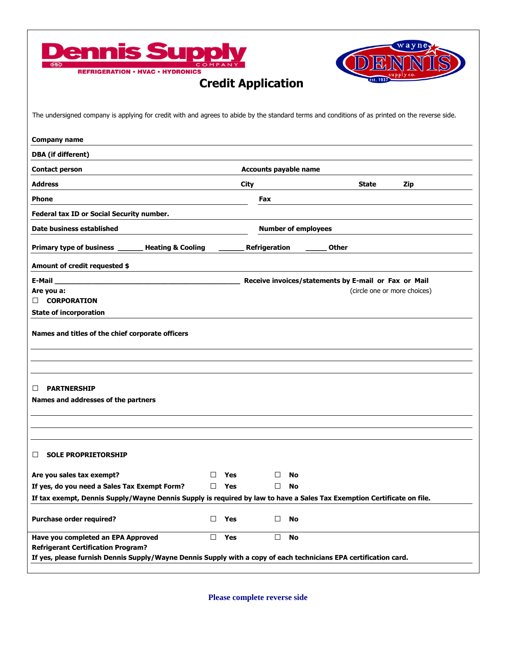



## **Credit Application**

| The undersigned company is applying for credit with and agrees to abide by the standard terms and conditions of as printed on the reverse side.                        |               |                                                      |              |                              |  |
|------------------------------------------------------------------------------------------------------------------------------------------------------------------------|---------------|------------------------------------------------------|--------------|------------------------------|--|
| <b>Company name</b>                                                                                                                                                    |               |                                                      |              |                              |  |
| <b>DBA</b> (if different)                                                                                                                                              |               |                                                      |              |                              |  |
| <b>Contact person</b>                                                                                                                                                  |               | <b>Accounts payable name</b>                         |              |                              |  |
| <b>Address</b>                                                                                                                                                         | City          |                                                      | State        | Zip                          |  |
| <b>Phone</b>                                                                                                                                                           | Fax           |                                                      |              |                              |  |
| Federal tax ID or Social Security number.                                                                                                                              |               |                                                      |              |                              |  |
| Date business established                                                                                                                                              |               | <b>Number of employees</b>                           |              |                              |  |
| Primary type of business _<br><b>Heating &amp; Cooling</b>                                                                                                             | Refrigeration |                                                      | <b>Other</b> |                              |  |
| Amount of credit requested \$                                                                                                                                          |               |                                                      |              |                              |  |
| E-Mail                                                                                                                                                                 |               | Receive invoices/statements by E-mail or Fax or Mail |              |                              |  |
| Are you a:<br><b>CORPORATION</b>                                                                                                                                       |               |                                                      |              | (circle one or more choices) |  |
|                                                                                                                                                                        |               |                                                      |              |                              |  |
| <b>State of incorporation</b><br>Names and titles of the chief corporate officers                                                                                      |               |                                                      |              |                              |  |
| <b>PARTNERSHIP</b><br>ப<br>Names and addresses of the partners                                                                                                         |               |                                                      |              |                              |  |
|                                                                                                                                                                        |               |                                                      |              |                              |  |
| <b>SOLE PROPRIETORSHIP</b><br>ப                                                                                                                                        |               |                                                      |              |                              |  |
| Are you sales tax exempt?                                                                                                                                              | П<br>Yes      | □<br>No                                              |              |                              |  |
|                                                                                                                                                                        | Yes<br>□      | <b>No</b><br>□                                       |              |                              |  |
| If yes, do you need a Sales Tax Exempt Form?<br>If tax exempt, Dennis Supply/Wayne Dennis Supply is required by law to have a Sales Tax Exemption Certificate on file. |               |                                                      |              |                              |  |
| Purchase order required?                                                                                                                                               | Yes<br>□      | <b>No</b><br>$\Box$                                  |              |                              |  |

 **Please complete reverse side**